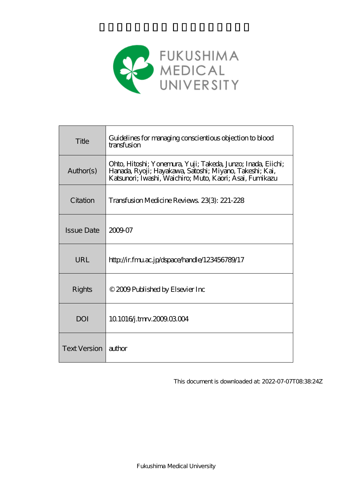

| Title               | Guidelines for managing conscientious objection to blood<br>transfusion                                                                                                             |
|---------------------|-------------------------------------------------------------------------------------------------------------------------------------------------------------------------------------|
| Author(s)           | Ohto, Hitoshi; Yonemura, Yuji; Takeda, Junzo; Inada, Eiichi;<br>Hanada, Ryoji; Hayakawa, Satoshi; Miyano, Takeshi; Kai,<br>Katsunori; Iwashi, Waichiro; Muto, Kaori; Asai, Fumikazu |
| Citation            | Transfusion Medicine Reviews, 23(3): 221-228                                                                                                                                        |
| <b>Issue Date</b>   | 2009-07                                                                                                                                                                             |
| URL                 | http://ir.fmu.ac.jp/dspace/handle/123456789/17                                                                                                                                      |
| Rights              | © 2009 Published by Elsevier Inc                                                                                                                                                    |
| DOI                 | 10.10164.tmv.200903004                                                                                                                                                              |
| <b>Text Version</b> | author                                                                                                                                                                              |

This document is downloaded at: 2022-07-07T08:38:24Z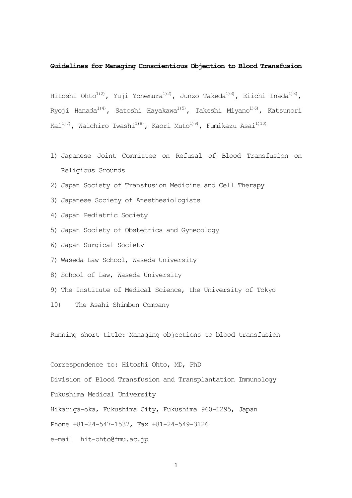### **Guidelines for Managing Conscientious Objection to Blood Transfusion**

Hitoshi Ohto<sup>1)2)</sup>, Yuji Yonemura<sup>1)2)</sup>, Junzo Takeda<sup>1)3)</sup>, Eiichi Inada<sup>1)3)</sup>, Ryoji Hanada<sup>1)4)</sup>, Satoshi Hayakawa<sup>1)5)</sup>, Takeshi Miyano<sup>1)6)</sup>, Katsunori Kai $^{1177}$ , Waichiro Iwashi $^{118}$ , Kaori Muto $^{119)}$ , Fumikazu Asai $^{1110}$ 

- 1) Japanese Joint Committee on Refusal of Blood Transfusion on Religious Grounds
- 2) Japan Society of Transfusion Medicine and Cell Therapy
- 3) Japanese Society of Anesthesiologists
- 4) Japan Pediatric Society
- 5) Japan Society of Obstetrics and Gynecology
- 6) Japan Surgical Society
- 7) Waseda Law School, Waseda University
- 8) School of Law, Waseda University
- 9) The Institute of Medical Science, the University of Tokyo
- 10) The Asahi Shimbun Company

Running short title: Managing objections to blood transfusion

Correspondence to: Hitoshi Ohto, MD, PhD

Division of Blood Transfusion and Transplantation Immunology

Fukushima Medical University

Hikariga-oka, Fukushima City, Fukushima 960-1295, Japan

Phone +81-24-547-1537, Fax +81-24-549-3126

e-mail hit-ohto@fmu.ac.jp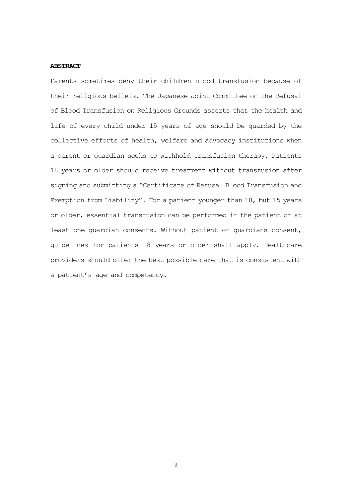### **ABSTRACT**

Parents sometimes deny their children blood transfusion because of their religious beliefs. The Japanese Joint Committee on the Refusal of Blood Transfusion on Religious Grounds asserts that the health and life of every child under 15 years of age should be guarded by the collective efforts of health, welfare and advocacy institutions when a parent or guardian seeks to withhold transfusion therapy. Patients 18 years or older should receive treatment without transfusion after signing and submitting a "Certificate of Refusal Blood Transfusion and Exemption from Liability". For a patient younger than 18, but 15 years or older, essential transfusion can be performed if the patient or at least one guardian consents. Without patient or guardians consent, guidelines for patients 18 years or older shall apply. Healthcare providers should offer the best possible care that is consistent with a patient's age and competency.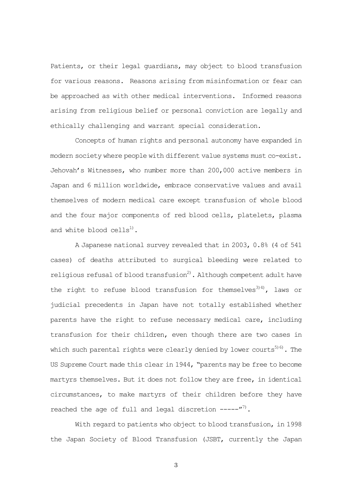Patients, or their legal guardians, may object to blood transfusion for various reasons. Reasons arising from misinformation or fear can be approached as with other medical interventions. Informed reasons arising from religious belief or personal conviction are legally and ethically challenging and warrant special consideration.

Concepts of human rights and personal autonomy have expanded in modern society where people with different value systems must co-exist. Jehovah's Witnesses, who number more than 200,000 active members in Japan and 6 million worldwide, embrace conservative values and avail themselves of modern medical care except transfusion of whole blood and the four major components of red blood cells, platelets, plasma and white blood  $\text{cells}^{1}$ .

A Japanese national survey revealed that in 2003, 0.8% (4 of 541 cases) of deaths attributed to surgical bleeding were related to religious refusal of blood transfusion $^{2)}$ . Although competent adult have the right to refuse blood transfusion for themselves $^{3(4)}$ , laws or judicial precedents in Japan have not totally established whether parents have the right to refuse necessary medical care, including transfusion for their children, even though there are two cases in which such parental rights were clearly denied by lower courts<sup>516)</sup>. The US Supreme Court made this clear in 1944, "parents may be free to become martyrs themselves. But it does not follow they are free, in identical circumstances, to make martyrs of their children before they have reached the age of full and legal discretion  $---''^7$ .

With regard to patients who object to blood transfusion, in 1998 the Japan Society of Blood Transfusion (JSBT, currently the Japan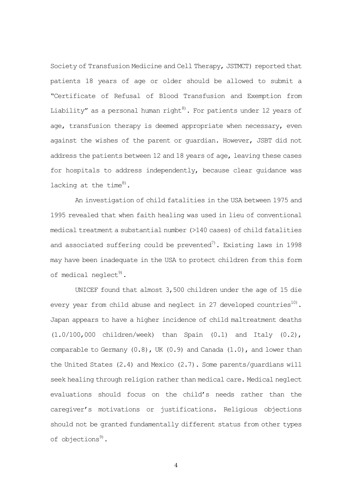Society of Transfusion Medicine and Cell Therapy, JSTMCT) reported that patients 18 years of age or older should be allowed to submit a "Certificate of Refusal of Blood Transfusion and Exemption from Liability" as a personal human right<sup>8)</sup>. For patients under 12 years of age, transfusion therapy is deemed appropriate when necessary, even against the wishes of the parent or guardian. However, JSBT did not address the patients between 12 and 18 years of age, leaving these cases for hospitals to address independently, because clear guidance was lacking at the time<sup>8)</sup>.

An investigation of child fatalities in the USA between 1975 and 1995 revealed that when faith healing was used in lieu of conventional medical treatment a substantial number (>140 cases) of child fatalities and associated suffering could be prevented $\binom{n}{2}$ . Existing laws in 1998 may have been inadequate in the USA to protect children from this form of medical neglect<sup>9)</sup>.

UNICEF found that almost 3,500 children under the age of 15 die every year from child abuse and neglect in 27 developed countries<sup>10)</sup>. Japan appears to have a higher incidence of child maltreatment deaths (1.0/100,000 children/week) than Spain (0.1) and Italy (0.2), comparable to Germany  $(0.8)$ , UK  $(0.9)$  and Canada  $(1.0)$ , and lower than the United States (2.4) and Mexico (2.7). Some parents/guardians will seek healing through religion rather than medical care. Medical neglect evaluations should focus on the child's needs rather than the caregiver's motivations or justifications. Religious objections should not be granted fundamentally different status from other types of objections<sup>9)</sup>.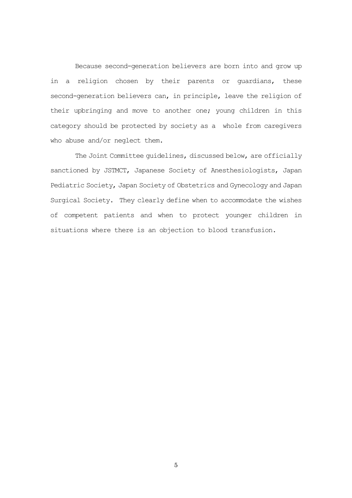Because second-generation believers are born into and grow up in a religion chosen by their parents or guardians, these second-generation believers can, in principle, leave the religion of their upbringing and move to another one; young children in this category should be protected by society as a whole from caregivers who abuse and/or neglect them.

The Joint Committee guidelines, discussed below, are officially sanctioned by JSTMCT, Japanese Society of Anesthesiologists, Japan Pediatric Society, Japan Society of Obstetrics and Gynecology and Japan Surgical Society. They clearly define when to accommodate the wishes of competent patients and when to protect younger children in situations where there is an objection to blood transfusion.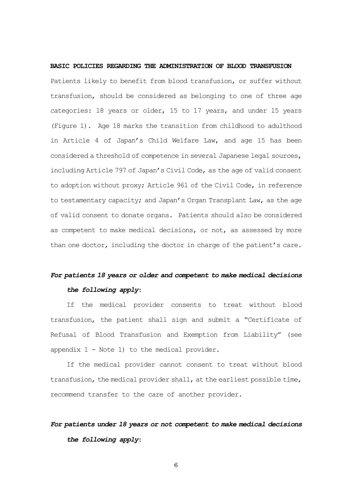**BASIC POLICIES REGARDING THE ADMINISTRATION OF BLOOD TRANSFUSION** Patients likely to benefit from blood transfusion, or suffer without transfusion, should be considered as belonging to one of three age categories: 18 years or older, 15 to 17 years, and under 15 years (Figure 1). Age 18 marks the transition from childhood to adulthood in Article 4 of Japan's Child Welfare Law, and age 15 has been considered a threshold of competence in several Japanese legal sources, including Article 797 of Japan's Civil Code, as the age of valid consent to adoption without proxy; Article 961 of the Civil Code, in reference to testamentary capacity; and Japan's Organ Transplant Law, as the age of valid consent to donate organs. Patients should also be considered as competent to make medical decisions, or not, as assessed by more than one doctor, including the doctor in charge of the patient's care.

# *For patients 18 years or older and competent to make medical decisions the following apply*:

If the medical provider consents to treat without blood transfusion, the patient shall sign and submit a "Certificate of Refusal of Blood Transfusion and Exemption from Liability" (see appendix  $1 -$  Note 1) to the medical provider.

If the medical provider cannot consent to treat without blood transfusion, the medical provider shall, at the earliest possible time, recommend transfer to the care of another provider.

# *For patients under 18 years or not competent to make medical decisions the following apply*: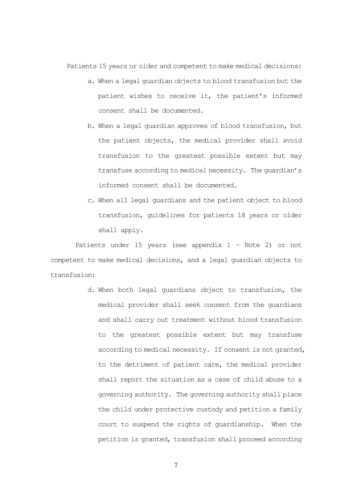Patients 15 years or older and competent to make medical decisions:

- a. When a legal guardian objects to blood transfusion but the patient wishes to receive it, the patient's informed consent shall be documented.
- b. When a legal guardian approves of blood transfusion, but the patient objects, the medical provider shall avoid transfusion to the greatest possible extent but may transfuse according to medical necessity. The guardian's informed consent shall be documented.
- c. When all legal guardians and the patient object to blood transfusion, guidelines for patients 18 years or older shall apply.

Patients under 15 years (see appendix 1 – Note 2) or not competent to make medical decisions, and a legal guardian objects to transfusion:

> d. When both legal guardians object to transfusion, the medical provider shall seek consent from the guardians and shall carry out treatment without blood transfusion to the greatest possible extent but may transfuse according to medical necessity. If consent is not granted, to the detriment of patient care, the medical provider shall report the situation as a case of child abuse to a governing authority. The governing authority shall place the child under protective custody and petition a family court to suspend the rights of guardianship. When the petition is granted, transfusion shall proceed according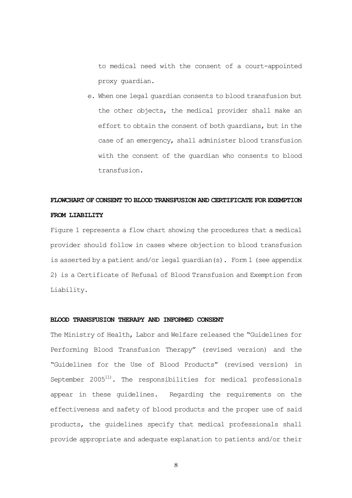to medical need with the consent of a court-appointed proxy guardian.

e. When one legal guardian consents to blood transfusion but the other objects, the medical provider shall make an effort to obtain the consent of both guardians, but in the case of an emergency, shall administer blood transfusion with the consent of the guardian who consents to blood transfusion.

## **FLOWCHART OF CONSENT TO BLOOD TRANSFUSION AND CERTIFICATE FOR EXEMPTION FROM LIABILITY**

Figure 1 represents a flow chart showing the procedures that a medical provider should follow in cases where objection to blood transfusion is asserted by a patient and/or legal guardian(s). Form 1 (see appendix 2) is a Certificate of Refusal of Blood Transfusion and Exemption from Liability.

## **BLOOD TRANSFUSION THERAPY AND INFORMED CONSENT**

The Ministry of Health, Labor and Welfare released the "Guidelines for Performing Blood Transfusion Therapy" (revised version) and the "Guidelines for the Use of Blood Products" (revised version) in September  $2005^{11}$ . The responsibilities for medical professionals appear in these guidelines. Regarding the requirements on the effectiveness and safety of blood products and the proper use of said products, the guidelines specify that medical professionals shall provide appropriate and adequate explanation to patients and/or their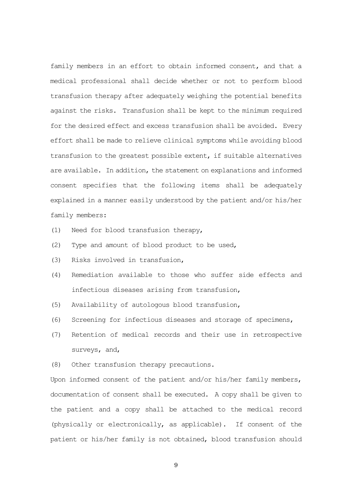family members in an effort to obtain informed consent, and that a medical professional shall decide whether or not to perform blood transfusion therapy after adequately weighing the potential benefits against the risks. Transfusion shall be kept to the minimum required for the desired effect and excess transfusion shall be avoided. Every effort shall be made to relieve clinical symptoms while avoiding blood transfusion to the greatest possible extent, if suitable alternatives are available. In addition, the statement on explanations and informed consent specifies that the following items shall be adequately explained in a manner easily understood by the patient and/or his/her family members:

- (1) Need for blood transfusion therapy,
- (2) Type and amount of blood product to be used,
- (3) Risks involved in transfusion,
- (4) Remediation available to those who suffer side effects and infectious diseases arising from transfusion,
- (5) Availability of autologous blood transfusion,
- (6) Screening for infectious diseases and storage of specimens,
- (7) Retention of medical records and their use in retrospective surveys, and,
- (8) Other transfusion therapy precautions.

Upon informed consent of the patient and/or his/her family members, documentation of consent shall be executed. A copy shall be given to the patient and a copy shall be attached to the medical record (physically or electronically, as applicable). If consent of the patient or his/her family is not obtained, blood transfusion should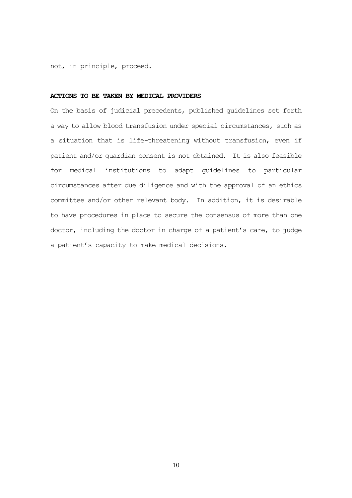not, in principle, proceed.

### **ACTIONS TO BE TAKEN BY MEDICAL PROVIDERS**

On the basis of judicial precedents, published guidelines set forth a way to allow blood transfusion under special circumstances, such as a situation that is life-threatening without transfusion, even if patient and/or guardian consent is not obtained. It is also feasible for medical institutions to adapt guidelines to particular circumstances after due diligence and with the approval of an ethics committee and/or other relevant body. In addition, it is desirable to have procedures in place to secure the consensus of more than one doctor, including the doctor in charge of a patient's care, to judge a patient's capacity to make medical decisions.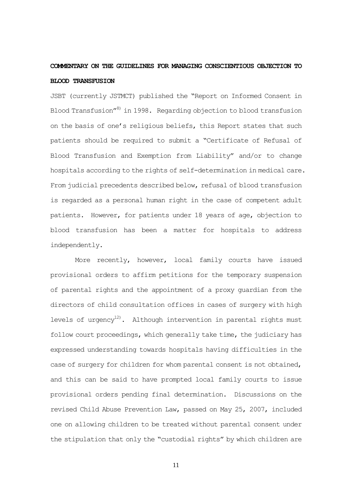## **COMMENTARY ON THE GUIDELINES FOR MANAGING CONSCIENTIOUS OBJECTION TO BLOOD TRANSFUSION**

JSBT (currently JSTMCT) published the "Report on Informed Consent in Blood Transfusion"8) in 1998. Regarding objection to blood transfusion on the basis of one's religious beliefs, this Report states that such patients should be required to submit a "Certificate of Refusal of Blood Transfusion and Exemption from Liability" and/or to change hospitals according to the rights of self-determination in medical care. From judicial precedents described below, refusal of blood transfusion is regarded as a personal human right in the case of competent adult patients. However, for patients under 18 years of age, objection to blood transfusion has been a matter for hospitals to address independently.

More recently, however, local family courts have issued provisional orders to affirm petitions for the temporary suspension of parental rights and the appointment of a proxy guardian from the directors of child consultation offices in cases of surgery with high levels of urgency<sup>12)</sup>. Although intervention in parental rights must follow court proceedings, which generally take time, the judiciary has expressed understanding towards hospitals having difficulties in the case of surgery for children for whom parental consent is not obtained, and this can be said to have prompted local family courts to issue provisional orders pending final determination. Discussions on the revised Child Abuse Prevention Law, passed on May 25, 2007, included one on allowing children to be treated without parental consent under the stipulation that only the "custodial rights" by which children are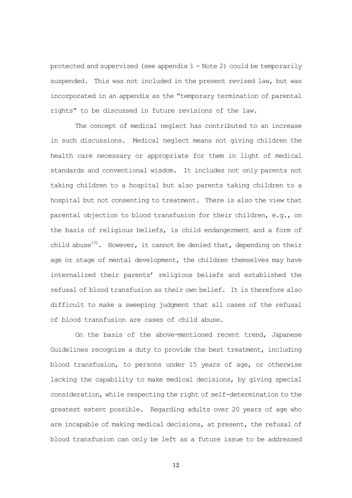protected and supervised (see appendix  $1 -$  Note 2) could be temporarily suspended. This was not included in the present revised law, but was incorporated in an appendix as the "temporary termination of parental rights" to be discussed in future revisions of the law.

The concept of medical neglect has contributed to an increase in such discussions. Medical neglect means not giving children the health care necessary or appropriate for them in light of medical standards and conventional wisdom. It includes not only parents not taking children to a hospital but also parents taking children to a hospital but not consenting to treatment. There is also the view that parental objection to blood transfusion for their children, e.g., on the basis of religious beliefs, is child endangerment and a form of child abuse<sup>13)</sup>. However, it cannot be denied that, depending on their age or stage of mental development, the children themselves may have internalized their parents' religious beliefs and established the refusal of blood transfusion as their own belief. It is therefore also difficult to make a sweeping judgment that all cases of the refusal of blood transfusion are cases of child abuse.

On the basis of the above-mentioned recent trend, Japanese Guidelines recognize a duty to provide the best treatment, including blood transfusion, to persons under 15 years of age, or otherwise lacking the capability to make medical decisions, by giving special consideration, while respecting the right of self-determination to the greatest extent possible. Regarding adults over 20 years of age who are incapable of making medical decisions, at present, the refusal of blood transfusion can only be left as a future issue to be addressed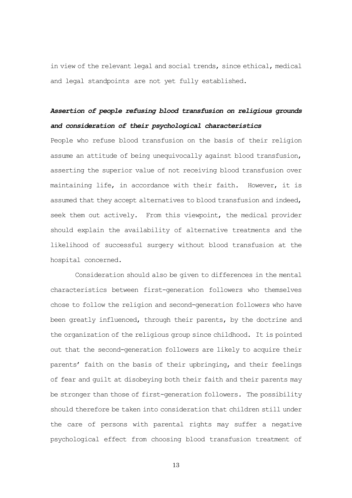in view of the relevant legal and social trends, since ethical, medical and legal standpoints are not yet fully established.

# *Assertion of people refusing blood transfusion on religious grounds and consideration of their psychological characteristics*

People who refuse blood transfusion on the basis of their religion assume an attitude of being unequivocally against blood transfusion, asserting the superior value of not receiving blood transfusion over maintaining life, in accordance with their faith. However, it is assumed that they accept alternatives to blood transfusion and indeed, seek them out actively. From this viewpoint, the medical provider should explain the availability of alternative treatments and the likelihood of successful surgery without blood transfusion at the hospital concerned.

Consideration should also be given to differences in the mental characteristics between first-generation followers who themselves chose to follow the religion and second-generation followers who have been greatly influenced, through their parents, by the doctrine and the organization of the religious group since childhood. It is pointed out that the second-generation followers are likely to acquire their parents' faith on the basis of their upbringing, and their feelings of fear and guilt at disobeying both their faith and their parents may be stronger than those of first-generation followers. The possibility should therefore be taken into consideration that children still under the care of persons with parental rights may suffer a negative psychological effect from choosing blood transfusion treatment of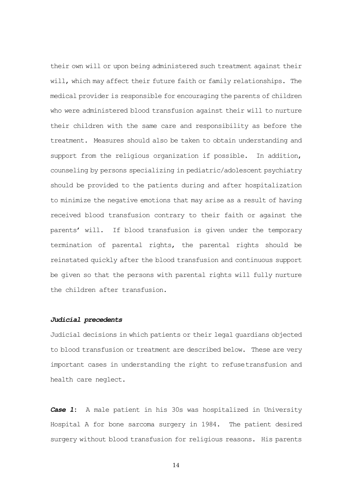their own will or upon being administered such treatment against their will, which may affect their future faith or family relationships. The medical provider is responsible for encouraging the parents of children who were administered blood transfusion against their will to nurture their children with the same care and responsibility as before the treatment. Measures should also be taken to obtain understanding and support from the religious organization if possible. In addition, counseling by persons specializing in pediatric/adolescent psychiatry should be provided to the patients during and after hospitalization to minimize the negative emotions that may arise as a result of having received blood transfusion contrary to their faith or against the parents' will. If blood transfusion is given under the temporary termination of parental rights, the parental rights should be reinstated quickly after the blood transfusion and continuous support be given so that the persons with parental rights will fully nurture the children after transfusion.

## *Judicial precedents*

Judicial decisions in which patients or their legal guardians objected to blood transfusion or treatment are described below. These are very important cases in understanding the right to refusetransfusion and health care neglect.

*Case 1***:** A male patient in his 30s was hospitalized in University Hospital A for bone sarcoma surgery in 1984. The patient desired surgery without blood transfusion for religious reasons. His parents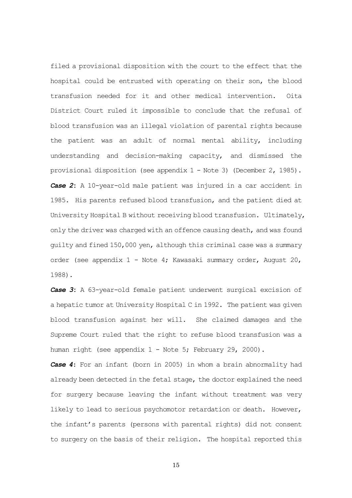filed a provisional disposition with the court to the effect that the hospital could be entrusted with operating on their son, the blood transfusion needed for it and other medical intervention. Oita District Court ruled it impossible to conclude that the refusal of blood transfusion was an illegal violation of parental rights because the patient was an adult of normal mental ability, including understanding and decision-making capacity, and dismissed the provisional disposition (see appendix 1 - Note 3) (December 2, 1985). *Case 2***:** A 10-year-old male patient was injured in a car accident in 1985. His parents refused blood transfusion, and the patient died at University Hospital B without receiving blood transfusion. Ultimately, only the driver was charged with an offence causing death, and was found guilty and fined 150,000 yen, although this criminal case was a summary order (see appendix 1 - Note 4; Kawasaki summary order, August 20, 1988).

*Case 3***:** A 63-year-old female patient underwent surgical excision of a hepatic tumor at University Hospital C in 1992. The patient was given blood transfusion against her will. She claimed damages and the Supreme Court ruled that the right to refuse blood transfusion was a human right (see appendix 1 - Note 5; February 29, 2000).

*Case 4*: For an infant (born in 2005) in whom a brain abnormality had already been detected in the fetal stage, the doctor explained the need for surgery because leaving the infant without treatment was very likely to lead to serious psychomotor retardation or death. However, the infant's parents (persons with parental rights) did not consent to surgery on the basis of their religion. The hospital reported this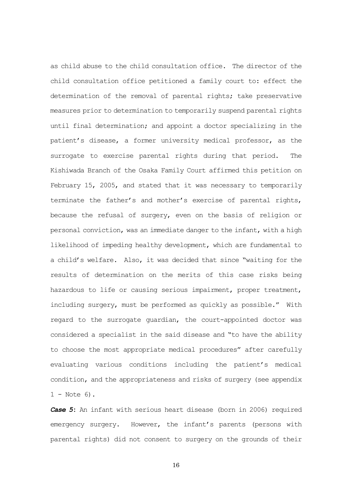as child abuse to the child consultation office. The director of the child consultation office petitioned a family court to: effect the determination of the removal of parental rights; take preservative measures prior to determination to temporarily suspend parental rights until final determination; and appoint a doctor specializing in the patient's disease, a former university medical professor, as the surrogate to exercise parental rights during that period. The Kishiwada Branch of the Osaka Family Court affirmed this petition on February 15, 2005, and stated that it was necessary to temporarily terminate the father's and mother's exercise of parental rights, because the refusal of surgery, even on the basis of religion or personal conviction, was an immediate danger to the infant, with a high likelihood of impeding healthy development, which are fundamental to a child's welfare. Also, it was decided that since "waiting for the results of determination on the merits of this case risks being hazardous to life or causing serious impairment, proper treatment, including surgery, must be performed as quickly as possible." With regard to the surrogate guardian, the court-appointed doctor was considered a specialist in the said disease and "to have the ability to choose the most appropriate medical procedures" after carefully evaluating various conditions including the patient's medical condition, and the appropriateness and risks of surgery (see appendix  $1 - Note 6$ .

*Case 5***:** An infant with serious heart disease (born in 2006) required emergency surgery. However, the infant's parents (persons with parental rights) did not consent to surgery on the grounds of their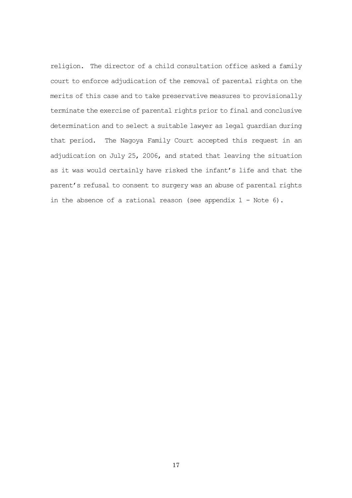religion. The director of a child consultation office asked a family court to enforce adjudication of the removal of parental rights on the merits of this case and to take preservative measures to provisionally terminate the exercise of parental rights prior to final and conclusive determination and to select a suitable lawyer as legal guardian during that period. The Nagoya Family Court accepted this request in an adjudication on July 25, 2006, and stated that leaving the situation as it was would certainly have risked the infant's life and that the parent's refusal to consent to surgery was an abuse of parental rights in the absence of a rational reason (see appendix  $1 -$  Note 6).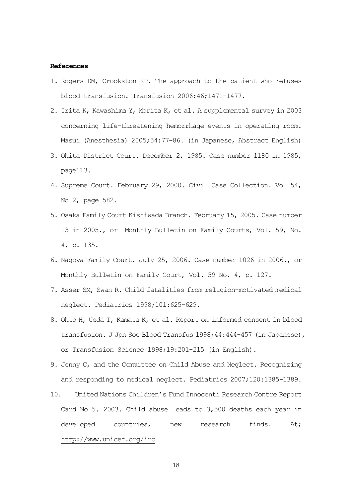#### **References**

- 1. Rogers DM, Crookston KP. The approach to the patient who refuses blood transfusion. Transfusion 2006:46;1471-1477.
- 2. Irita K, Kawashima Y, Morita K, et al. A supplemental survey in 2003 concerning life-threatening hemorrhage events in operating room. Masui (Anesthesia) 2005;54:77-86. (in Japanese, Abstract English)
- 3. Ohita District Court. December 2, 1985. Case number 1180 in 1985, page113.
- 4. Supreme Court. February 29, 2000. Civil Case Collection. Vol 54, No 2, page 582.
- 5. Osaka Family Court Kishiwada Branch. February 15, 2005. Case number 13 in 2005., or Monthly Bulletin on Family Courts, Vol. 59, No. 4, p. 135.
- 6. Nagoya Family Court. July 25, 2006. Case number 1026 in 2006., or Monthly Bulletin on Family Court, Vol. 59 No. 4, p. 127.
- 7. Asser SM, Swan R. Child fatalities from religion-motivated medical neglect. Pediatrics 1998;101:625-629.
- 8. Ohto H, Ueda T, Kamata K, et al. Report on informed consent in blood transfusion. J Jpn Soc Blood Transfus 1998;44:444-457 (in Japanese), or Transfusion Science 1998;19:201-215 (in English).
- 9. Jenny C, and the Committee on Child Abuse and Neglect. Recognizing and responding to medical neglect. Pediatrics 2007;120:1385-1389.
- 10. United Nations Children's Fund Innocenti Research Contre Report Card No 5. 2003. Child abuse leads to 3,500 deaths each year in developed countries, new research finds. At; <http://www.unicef.org/irc>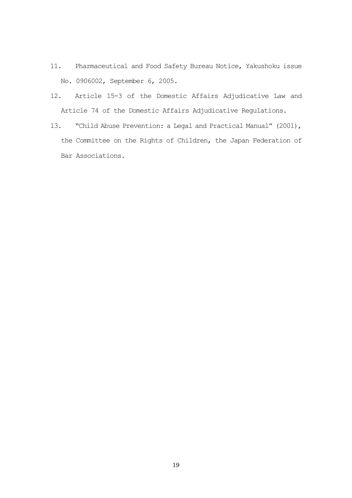- 11. Pharmaceutical and Food Safety Bureau Notice, Yakushoku issue No. 0906002, September 6, 2005.
- 12. Article 15-3 of the Domestic Affairs Adjudicative Law and Article 74 of the Domestic Affairs Adjudicative Regulations.
- 13. "Child Abuse Prevention: a Legal and Practical Manual" (2001), the Committee on the Rights of Children, the Japan Federation of Bar Associations.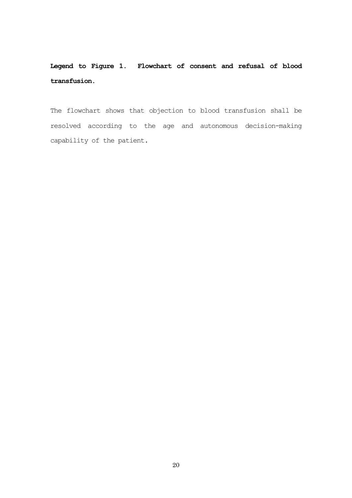**Legend to Figure 1. Flowchart of consent and refusal of blood transfusion.**

The flowchart shows that objection to blood transfusion shall be resolved according to the age and autonomous decision-making capability of the patient.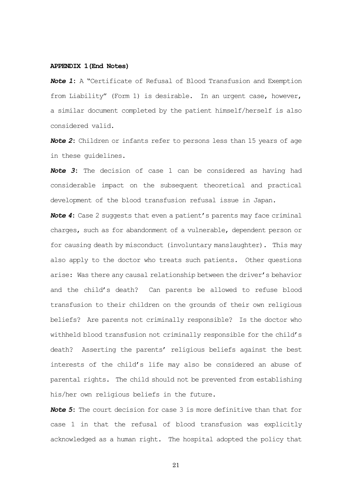#### **APPENDIX 1(End Notes)**

*Note 1***:** A "Certificate of Refusal of Blood Transfusion and Exemption from Liability" (Form 1) is desirable. In an urgent case, however, a similar document completed by the patient himself/herself is also considered valid.

*Note 2***:** Children or infants refer to persons less than 15 years of age in these guidelines.

*Note 3***:** The decision of case 1 can be considered as having had considerable impact on the subsequent theoretical and practical development of the blood transfusion refusal issue in Japan.

*Note 4***:** Case 2 suggests that even a patient's parents may face criminal charges, such as for abandonment of a vulnerable, dependent person or for causing death by misconduct (involuntary manslaughter). This may also apply to the doctor who treats such patients. Other questions arise: Was there any causal relationship between the driver's behavior and the child's death? Can parents be allowed to refuse blood transfusion to their children on the grounds of their own religious beliefs? Are parents not criminally responsible? Is the doctor who withheld blood transfusion not criminally responsible for the child's death? Asserting the parents' religious beliefs against the best interests of the child's life may also be considered an abuse of parental rights. The child should not be prevented from establishing his/her own religious beliefs in the future.

*Note 5***:** The court decision for case 3 is more definitive than that for case 1 in that the refusal of blood transfusion was explicitly acknowledged as a human right. The hospital adopted the policy that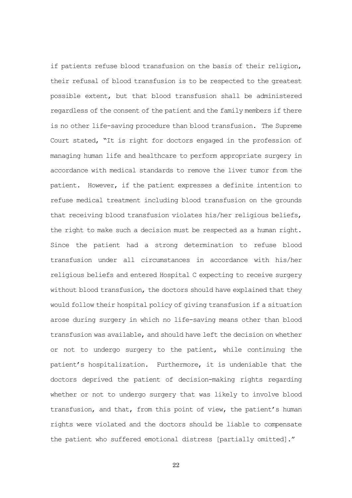if patients refuse blood transfusion on the basis of their religion, their refusal of blood transfusion is to be respected to the greatest possible extent, but that blood transfusion shall be administered regardless of the consent of the patient and the family members if there is no other life-saving procedure than blood transfusion. The Supreme Court stated, "It is right for doctors engaged in the profession of managing human life and healthcare to perform appropriate surgery in accordance with medical standards to remove the liver tumor from the patient. However, if the patient expresses a definite intention to refuse medical treatment including blood transfusion on the grounds that receiving blood transfusion violates his/her religious beliefs, the right to make such a decision must be respected as a human right. Since the patient had a strong determination to refuse blood transfusion under all circumstances in accordance with his/her religious beliefs and entered Hospital C expecting to receive surgery without blood transfusion, the doctors should have explained that they would follow their hospital policy of giving transfusion if a situation arose during surgery in which no life-saving means other than blood transfusion was available, and should have left the decision on whether or not to undergo surgery to the patient, while continuing the patient's hospitalization. Furthermore, it is undeniable that the doctors deprived the patient of decision-making rights regarding whether or not to undergo surgery that was likely to involve blood transfusion, and that, from this point of view, the patient's human rights were violated and the doctors should be liable to compensate the patient who suffered emotional distress [partially omitted]."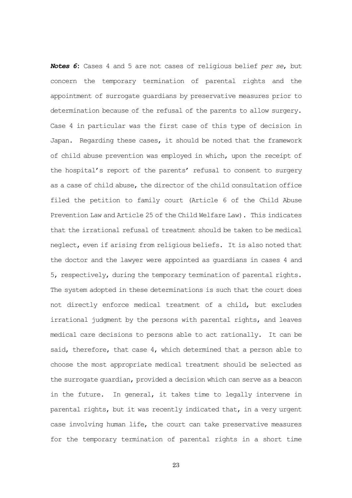*Notes 6***:** Cases 4 and 5 are not cases of religious belief *per se*, but concern the temporary termination of parental rights and the appointment of surrogate guardians by preservative measures prior to determination because of the refusal of the parents to allow surgery. Case 4 in particular was the first case of this type of decision in Japan. Regarding these cases, it should be noted that the framework of child abuse prevention was employed in which, upon the receipt of the hospital's report of the parents' refusal to consent to surgery as a case of child abuse, the director of the child consultation office filed the petition to family court (Article 6 of the Child Abuse Prevention Law and Article 25 of the Child Welfare Law). This indicates that the irrational refusal of treatment should be taken to be medical neglect, even if arising from religious beliefs. It is also noted that the doctor and the lawyer were appointed as guardians in cases 4 and 5, respectively, during the temporary termination of parental rights. The system adopted in these determinations is such that the court does not directly enforce medical treatment of a child, but excludes irrational judgment by the persons with parental rights, and leaves medical care decisions to persons able to act rationally. It can be said, therefore, that case 4, which determined that a person able to choose the most appropriate medical treatment should be selected as the surrogate guardian, provided a decision which can serve as a beacon in the future. In general, it takes time to legally intervene in parental rights, but it was recently indicated that, in a very urgent case involving human life, the court can take preservative measures for the temporary termination of parental rights in a short time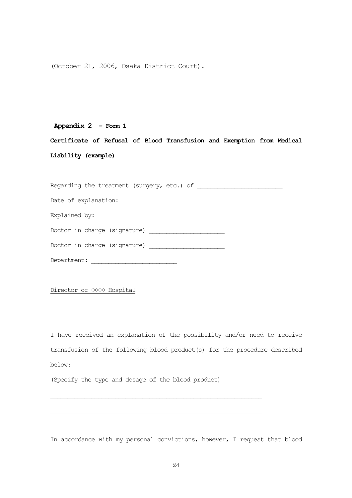(October 21, 2006, Osaka District Court).

### **Appendix 2 – Form 1**

**Certificate of Refusal of Blood Transfusion and Exemption from Medical Liability (example)**

Regarding the treatment (surgery, etc.) of \_\_\_\_\_\_\_\_\_\_\_\_\_\_\_\_\_\_\_\_\_\_\_\_\_

Date of explanation:

Explained by:

Doctor in charge (signature) \_\_\_\_\_\_\_\_\_\_\_\_\_\_\_\_\_\_\_\_\_\_

Doctor in charge (signature) \_\_\_\_\_\_\_\_\_\_\_\_\_\_\_\_\_\_\_\_\_\_

 $\texttt{Department:}\footnotesize\begin{minipage}{14.5cm}\begin{tabular}{|l|l|l|} \hline \texttt{Department:} & \texttt{^011} & \texttt{^021} & \texttt{^031} & \texttt{^041} & \texttt{^051} & \texttt{^061} & \texttt{^071} & \texttt{^081} & \texttt{^091} & \texttt{^091} & \texttt{^091} & \texttt{^091} & \texttt{^091} & \texttt{^091} & \texttt{^091} & \texttt{^091} & \texttt{^091} & \texttt$ 

Director of **0000** Hospital

I have received an explanation of the possibility and/or need to receive transfusion of the following blood product(s) for the procedure described below:

(Specify the type and dosage of the blood product)

\_\_\_\_\_\_\_\_\_\_\_\_\_\_\_\_\_\_\_\_\_\_\_\_\_\_\_\_\_\_\_\_\_\_\_\_\_\_\_\_\_\_\_\_\_\_\_\_\_\_\_\_\_\_\_\_\_\_\_\_\_\_

\_\_\_\_\_\_\_\_\_\_\_\_\_\_\_\_\_\_\_\_\_\_\_\_\_\_\_\_\_\_\_\_\_\_\_\_\_\_\_\_\_\_\_\_\_\_\_\_\_\_\_\_\_\_\_\_\_\_\_\_\_\_

In accordance with my personal convictions, however, I request that blood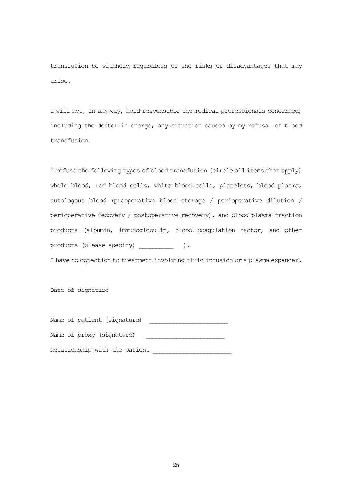transfusion be withheld regardless of the risks or disadvantages that may arise.

I will not, in any way, hold responsible the medical professionals concerned, including the doctor in charge, any situation caused by my refusal of blood transfusion.

I refuse the following types of blood transfusion (circle all items that apply) whole blood, red blood cells, white blood cells, platelets, blood plasma, autologous blood (preoperative blood storage / perioperative dilution / perioperative recovery / postoperative recovery), and blood plasma fraction products (albumin, immunoglobulin, blood coagulation factor, and other products (please specify)  $\qquad \qquad$ ).

I have no objection to treatment involving fluid infusion or a plasma expander.

Date of signature

|  | Name of patient (signature)   |
|--|-------------------------------|
|  | Name of proxy (signature)     |
|  | Relationship with the patient |